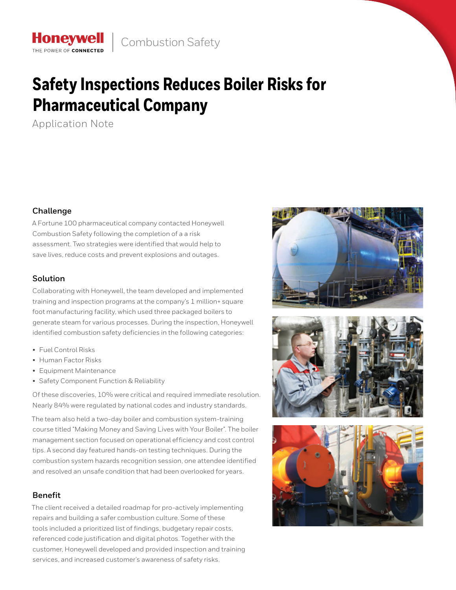# **Safety Inspections Reduces Boiler Risks for Pharmaceutical Company**

Application Note

**Honeywell** THE POWER OF CONNECTE

## **Challenge**

A Fortune 100 pharmaceutical company contacted Honeywell Combustion Safety following the completion of a a risk assessment. Two strategies were identified that would help to save lives, reduce costs and prevent explosions and outages.

## **Solution**

Collaborating with Honeywell, the team developed and implemented training and inspection programs at the company's 1 million+ square foot manufacturing facility, which used three packaged boilers to generate steam for various processes. During the inspection, Honeywell identified combustion safety deficiencies in the following categories:

- Fuel Control Risks
- Human Factor Risks
- Equipment Maintenance
- Safety Component Function & Reliability

Of these discoveries, 10% were critical and required immediate resolution. Nearly 84% were regulated by national codes and industry standards.

The team also held a two-day boiler and combustion system-training course titled "Making Money and Saving Lives with Your Boiler". The boiler management section focused on operational efficiency and cost control tips. A second day featured hands-on testing techniques. During the combustion system hazards recognition session, one attendee identified and resolved an unsafe condition that had been overlooked for years.

# **Benefit**

The client received a detailed roadmap for pro-actively implementing repairs and building a safer combustion culture. Some of these tools included a prioritized list of findings, budgetary repair costs, referenced code justification and digital photos. Together with the customer, Honeywell developed and provided inspection and training services, and increased customer's awareness of safety risks.